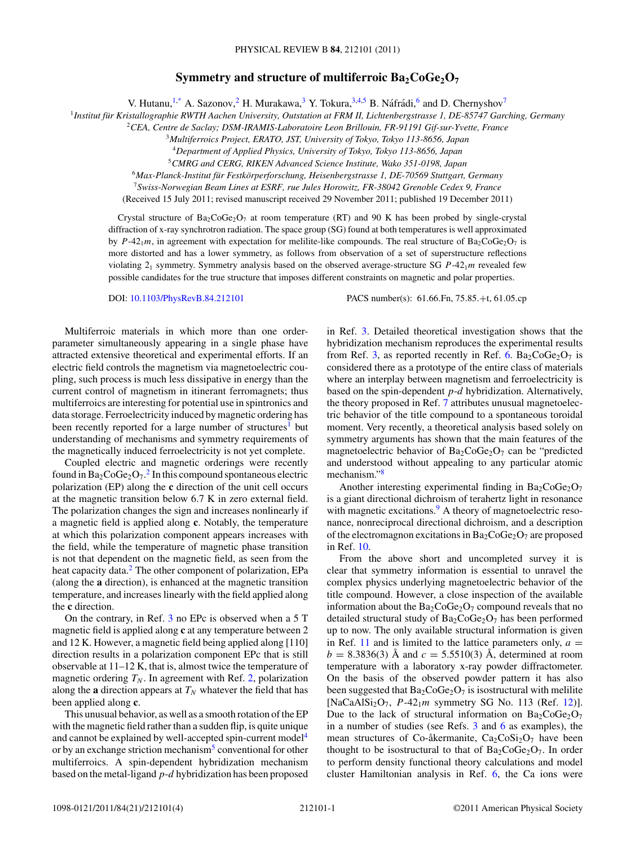## **Symmetry and structure of multiferroic Ba<sub>2</sub>CoGe<sub>2</sub>O<sub>7</sub>**

V. Hutanu,<sup>1[,\\*](#page-3-0)</sup> A. Sazonov,<sup>2</sup> H. Murakawa,<sup>3</sup> Y. Tokura,<sup>3,4,5</sup> B. Náfrádi,<sup>6</sup> and D. Chernyshov<sup>7</sup>

<sup>1</sup>*Institut fur Kristallographie RWTH Aachen University, Outstation at FRM II, Lichtenbergstrasse 1, DE-85747 Garching, Germany ¨*

<sup>2</sup>*CEA, Centre de Saclay; DSM-IRAMIS-Laboratoire Leon Brillouin, FR-91191 Gif-sur-Yvette, France*

<sup>3</sup>*Multiferroics Project, ERATO, JST, University of Tokyo, Tokyo 113-8656, Japan*

<sup>4</sup>*Department of Applied Physics, University of Tokyo, Tokyo 113-8656, Japan*

<sup>5</sup>*CMRG and CERG, RIKEN Advanced Science Institute, Wako 351-0198, Japan*

<sup>6</sup>*Max-Planck-Institut fur Festk ¨ orperforschung, Heisenbergstrasse 1, DE-70569 Stuttgart, Germany ¨*

<sup>7</sup>*Swiss-Norwegian Beam Lines at ESRF, rue Jules Horowitz, FR-38042 Grenoble Cedex 9, France*

(Received 15 July 2011; revised manuscript received 29 November 2011; published 19 December 2011)

Crystal structure of  $Ba_2CoGe_2O_7$  at room temperature (RT) and 90 K has been probed by single-crystal diffraction of x-ray synchrotron radiation. The space group (SG) found at both temperatures is well approximated by *P*-42<sub>1</sub>*m*, in agreement with expectation for melilite-like compounds. The real structure of  $Ba_2CoGe_2O_7$  is more distorted and has a lower symmetry, as follows from observation of a set of superstructure reflections violating  $2_1$  symmetry. Symmetry analysis based on the observed average-structure SG  $P-42_1m$  revealed few possible candidates for the true structure that imposes different constraints on magnetic and polar properties.

DOI: [10.1103/PhysRevB.84.212101](http://dx.doi.org/10.1103/PhysRevB.84.212101) PACS number(s): 61*.*66*.*Fn, 75*.*85*.*+t, 61*.*05*.*cp

Multiferroic materials in which more than one orderparameter simultaneously appearing in a single phase have attracted extensive theoretical and experimental efforts. If an electric field controls the magnetism via magnetoelectric coupling, such process is much less dissipative in energy than the current control of magnetism in itinerant ferromagnets; thus multiferroics are interesting for potential use in spintronics and data storage. Ferroelectricity induced by magnetic ordering has been recently reported for a large number of structures<sup>[1](#page-3-0)</sup> but understanding of mechanisms and symmetry requirements of the magnetically induced ferroelectricity is not yet complete.

Coupled electric and magnetic orderings were recently found in  $Ba_2CoGe_2O_7$  $Ba_2CoGe_2O_7$  $Ba_2CoGe_2O_7$ .<sup>2</sup> In this compound spontaneous electric polarization (EP) along the **c** direction of the unit cell occurs at the magnetic transition below 6.7 K in zero external field. The polarization changes the sign and increases nonlinearly if a magnetic field is applied along **c**. Notably, the temperature at which this polarization component appears increases with the field, while the temperature of magnetic phase transition is not that dependent on the magnetic field, as seen from the heat capacity data.<sup>[2](#page-3-0)</sup> The other component of polarization, EPa (along the **a** direction), is enhanced at the magnetic transition temperature, and increases linearly with the field applied along the **c** direction.

On the contrary, in Ref. [3](#page-3-0) no EPc is observed when a 5 T magnetic field is applied along **c** at any temperature between 2 and 12 K. However, a magnetic field being applied along [110] direction results in a polarization component EPc that is still observable at 11–12 K, that is, almost twice the temperature of magnetic ordering  $T_N$ . In agreement with Ref. [2,](#page-3-0) polarization along the **a** direction appears at  $T_N$  whatever the field that has been applied along **c**.

This unusual behavior, as well as a smooth rotation of the EP with the magnetic field rather than a sudden flip, is quite unique and cannot be explained by well-accepted spin-current model<sup>4</sup> or by an exchange striction mechanism<sup>5</sup> conventional for other multiferroics. A spin-dependent hybridization mechanism based on the metal-ligand *p*-*d* hybridization has been proposed in Ref. [3.](#page-3-0) Detailed theoretical investigation shows that the hybridization mechanism reproduces the experimental results from Ref. [3,](#page-3-0) as reported recently in Ref. [6.](#page-3-0) Ba<sub>2</sub>CoGe<sub>2</sub>O<sub>7</sub> is considered there as a prototype of the entire class of materials where an interplay between magnetism and ferroelectricity is based on the spin-dependent *p*-*d* hybridization. Alternatively, the theory proposed in Ref. [7](#page-3-0) attributes unusual magnetoelectric behavior of the title compound to a spontaneous toroidal moment. Very recently, a theoretical analysis based solely on symmetry arguments has shown that the main features of the magnetoelectric behavior of  $Ba_2CoGe_2O_7$  can be "predicted and understood without appealing to any particular atomic mechanism."<sup>8</sup>

Another interesting experimental finding in  $Ba_2CoGe_2O_7$ is a giant directional dichroism of terahertz light in resonance with magnetic excitations.<sup>[9](#page-3-0)</sup> A theory of magnetoelectric resonance, nonreciprocal directional dichroism, and a description of the electromagnon excitations in  $Ba_2CoGe_2O_7$  are proposed in Ref. [10.](#page-3-0)

From the above short and uncompleted survey it is clear that symmetry information is essential to unravel the complex physics underlying magnetoelectric behavior of the title compound. However, a close inspection of the available information about the  $Ba_2CoGe_2O_7$  compound reveals that no detailed structural study of  $Ba<sub>2</sub>CoGe<sub>2</sub>O<sub>7</sub>$  has been performed up to now. The only available structural information is given in Ref. [11](#page-3-0) and is limited to the lattice parameters only,  $a =$  $b = 8.3836(3)$  Å and  $c = 5.5510(3)$  Å, determined at room temperature with a laboratory x-ray powder diffractometer. On the basis of the observed powder pattern it has also been suggested that  $Ba_2CoGe_2O_7$  is isostructural with melilite  $[NaCaAlSi<sub>2</sub>O<sub>7</sub>, P-42<sub>1</sub>m symmetry SG No. 113 (Ref. 12)].$  $[NaCaAlSi<sub>2</sub>O<sub>7</sub>, P-42<sub>1</sub>m symmetry SG No. 113 (Ref. 12)].$  $[NaCaAlSi<sub>2</sub>O<sub>7</sub>, P-42<sub>1</sub>m symmetry SG No. 113 (Ref. 12)].$ Due to the lack of structural information on  $Ba_2CoGe_2O_7$ in a number of studies (see Refs. [3](#page-3-0) and [6](#page-3-0) as examples), the mean structures of Co-åkermanite,  $Ca<sub>2</sub>CoSi<sub>2</sub>O<sub>7</sub>$  have been thought to be isostructural to that of  $Ba_2CoGe_2O_7$ . In order to perform density functional theory calculations and model cluster Hamiltonian analysis in Ref. [6,](#page-3-0) the Ca ions were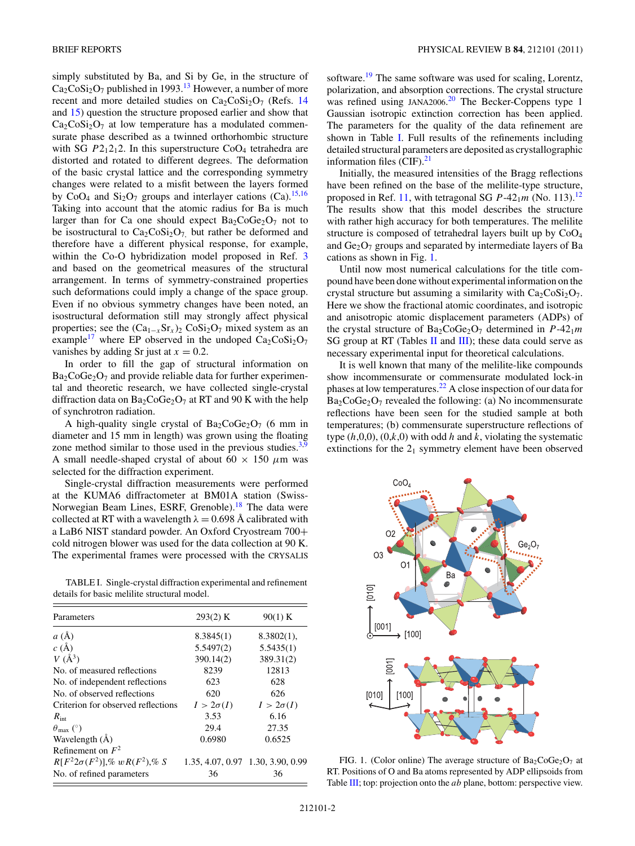<span id="page-1-0"></span>simply substituted by Ba, and Si by Ge, in the structure of  $Ca_2CoSi_2O_7$  published in 1993.<sup>13</sup> However, a number of more recent and more detailed studies on  $Ca_2CoSi_2O_7$  (Refs. [14](#page-3-0) and [15\)](#page-3-0) question the structure proposed earlier and show that  $Ca<sub>2</sub>CoSi<sub>2</sub>O<sub>7</sub>$  at low temperature has a modulated commensurate phase described as a twinned orthorhombic structure with SG  $P2_12_12$ . In this superstructure  $CoO<sub>4</sub>$  tetrahedra are distorted and rotated to different degrees. The deformation of the basic crystal lattice and the corresponding symmetry changes were related to a misfit between the layers formed by  $CoO<sub>4</sub>$  and  $Si<sub>2</sub>O<sub>7</sub>$  groups and interlayer cations (Ca).<sup>[15,16](#page-3-0)</sup> Taking into account that the atomic radius for Ba is much larger than for Ca one should expect  $Ba<sub>2</sub>CoGe<sub>2</sub>O<sub>7</sub>$  not to be isostructural to  $Ca_2CoSi_2O_7$ , but rather be deformed and therefore have a different physical response, for example, within the Co-O hybridization model proposed in Ref. [3](#page-3-0) and based on the geometrical measures of the structural arrangement. In terms of symmetry-constrained properties such deformations could imply a change of the space group. Even if no obvious symmetry changes have been noted, an isostructural deformation still may strongly affect physical properties; see the  $(Ca_{1-x}Sr_x)_2 \text{ } Cosi_2O_7$  mixed system as an example<sup>17</sup> where EP observed in the undoped  $Ca_2CoSi_2O_7$ vanishes by adding Sr just at  $x = 0.2$ .

In order to fill the gap of structural information on  $Ba_2CoGe_2O_7$  and provide reliable data for further experimental and theoretic research, we have collected single-crystal diffraction data on  $Ba_2CoGe_2O_7$  at RT and 90 K with the help of synchrotron radiation.

A high-quality single crystal of  $Ba_2CoGe_2O_7$  (6 mm in diameter and 15 mm in length) was grown using the floating zone method similar to those used in the previous studies.<sup>3,9</sup> A small needle-shaped crystal of about  $60 \times 150 \mu$ m was selected for the diffraction experiment.

Single-crystal diffraction measurements were performed at the KUMA6 diffractometer at BM01A station (Swiss-Norwegian Beam Lines, ESRF, Grenoble).<sup>[18](#page-3-0)</sup> The data were collected at RT with a wavelength  $\lambda = 0.698$  Å calibrated with a LaB6 NIST standard powder. An Oxford Cryostream 700+ cold nitrogen blower was used for the data collection at 90 K. The experimental frames were processed with the CRYSALIS

TABLE I. Single-crystal diffraction experimental and refinement details for basic melilite structural model.

| Parameters                           | 293(2) K         | 90(1) K                           |
|--------------------------------------|------------------|-----------------------------------|
| a(A)                                 | 8.3845(1)        | $8.3802(1)$ ,                     |
| c(A)                                 | 5.5497(2)        | 5.5435(1)                         |
| $V(\AA^3)$                           | 390.14(2)        | 389.31(2)                         |
| No. of measured reflections          | 8239             | 12813                             |
| No. of independent reflections       | 623              | 628                               |
| No. of observed reflections          | 620              | 626                               |
| Criterion for observed reflections   | $I > 2\sigma(I)$ | $I > 2\sigma(I)$                  |
| $R_{\text{int}}$                     | 3.53             | 6.16                              |
| $\theta_{\text{max}}$ (°)            | 29.4             | 27.35                             |
| Wavelength (Å)                       | 0.6980           | 0.6525                            |
| Refinement on $F^2$                  |                  |                                   |
| $R[F^22\sigma(F^2)],\% wR(F^2),\% S$ |                  | 1.35, 4.07, 0.97 1.30, 3.90, 0.99 |
| No. of refined parameters            | 36               | 36                                |
|                                      |                  |                                   |

software[.19](#page-3-0) The same software was used for scaling, Lorentz, polarization, and absorption corrections. The crystal structure was refined using JANA[20](#page-3-0)06.<sup>20</sup> The Becker-Coppens type 1 Gaussian isotropic extinction correction has been applied. The parameters for the quality of the data refinement are shown in Table I. Full results of the refinements including detailed structural parameters are deposited as crystallographic information files  $(CIF).^{21}$ 

Initially, the measured intensities of the Bragg reflections have been refined on the base of the melilite-type structure, proposed in Ref. [11,](#page-3-0) with tetragonal SG  $P-42<sub>1</sub>m$  (No. 113).<sup>[12](#page-3-0)</sup> The results show that this model describes the structure with rather high accuracy for both temperatures. The melilite structure is composed of tetrahedral layers built up by  $CoO<sub>4</sub>$ and  $Ge_2O_7$  groups and separated by intermediate layers of Ba cations as shown in Fig. 1.

Until now most numerical calculations for the title compound have been done without experimental information on the crystal structure but assuming a similarity with  $Ca_2CoSi_2O_7$ . Here we show the fractional atomic coordinates, and isotropic and anisotropic atomic displacement parameters (ADPs) of the crystal structure of  $Ba_2CoGe_2O_7$  determined in  $P-42_1m$ SG group at RT (Tables [II](#page-2-0) and [III\)](#page-2-0); these data could serve as necessary experimental input for theoretical calculations.

It is well known that many of the melilite-like compounds show incommensurate or commensurate modulated lock-in phases at low temperatures.[22](#page-3-0) A close inspection of our data for  $Ba<sub>2</sub>CoGe<sub>2</sub>O<sub>7</sub>$  revealed the following: (a) No incommensurate reflections have been seen for the studied sample at both temperatures; (b) commensurate superstructure reflections of type  $(h,0,0)$ ,  $(0,k,0)$  with odd *h* and *k*, violating the systematic extinctions for the  $2<sub>1</sub>$  symmetry element have been observed



FIG. 1. (Color online) The average structure of  $Ba_2CoGe_2O_7$  at RT. Positions of O and Ba atoms represented by ADP ellipsoids from Table [III;](#page-2-0) top: projection onto the *ab* plane, bottom: perspective view.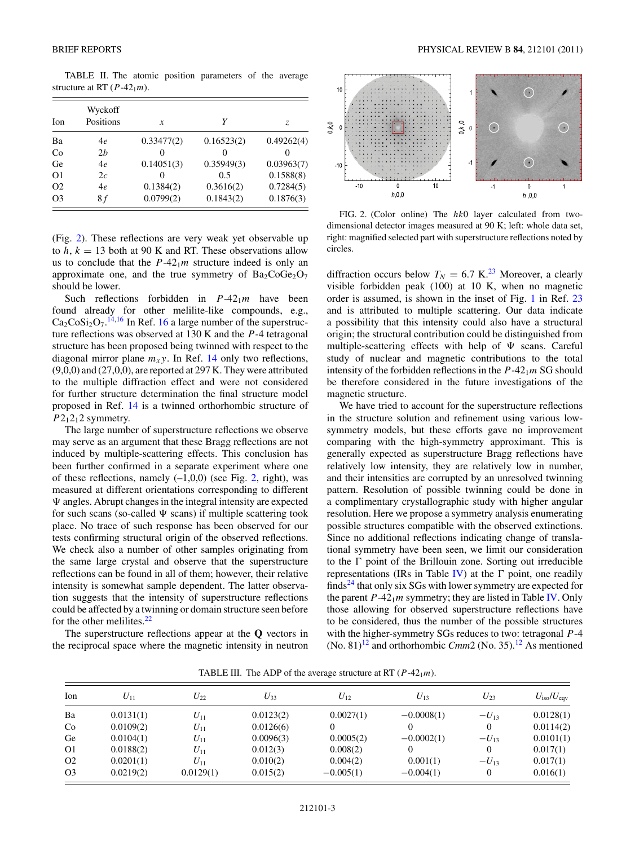<span id="page-2-0"></span>TABLE II. The atomic position parameters of the average structure at RT  $(P-42<sub>1</sub>m)$ .

| <b>Ion</b>     | Wyckoff<br>Positions | x          | Υ          | Z.         |
|----------------|----------------------|------------|------------|------------|
| Ba             | 4e                   | 0.33477(2) | 0.16523(2) | 0.49262(4) |
| Co             | 2h                   | $\theta$   | $\theta$   | 0          |
| Ge             | 4e                   | 0.14051(3) | 0.35949(3) | 0.03963(7) |
| O <sub>1</sub> | 2c                   | 0          | 0.5        | 0.1588(8)  |
| O <sub>2</sub> | 4e                   | 0.1384(2)  | 0.3616(2)  | 0.7284(5)  |
| O <sub>3</sub> | 8 f                  | 0.0799(2)  | 0.1843(2)  | 0.1876(3)  |

(Fig. 2). These reflections are very weak yet observable up to  $h, k = 13$  both at 90 K and RT. These observations allow us to conclude that the  $P-42<sub>1</sub>m$  structure indeed is only an approximate one, and the true symmetry of  $Ba<sub>2</sub>CoGe<sub>2</sub>O<sub>7</sub>$ should be lower.

Such reflections forbidden in  $P-42<sub>1</sub>m$  have been found already for other melilite-like compounds, e.g.,  $Ca<sub>2</sub>CoSi<sub>2</sub>O<sub>7</sub>$ .<sup>[14,16](#page-3-0)</sup> In Ref. [16](#page-3-0) a large number of the superstructure reflections was observed at 130 K and the *P*-4 tetragonal structure has been proposed being twinned with respect to the diagonal mirror plane  $m<sub>x</sub>$ y. In Ref. [14](#page-3-0) only two reflections, (9,0,0) and (27,0,0), are reported at 297 K. They were attributed to the multiple diffraction effect and were not considered for further structure determination the final structure model proposed in Ref. [14](#page-3-0) is a twinned orthorhombic structure of  $P2_12_12$  symmetry.

The large number of superstructure reflections we observe may serve as an argument that these Bragg reflections are not induced by multiple-scattering effects. This conclusion has been further confirmed in a separate experiment where one of these reflections, namely  $(-1,0,0)$  (see Fig. 2, right), was measured at different orientations corresponding to different  $\Psi$  angles. Abrupt changes in the integral intensity are expected for such scans (so-called  $\Psi$  scans) if multiple scattering took place. No trace of such response has been observed for our tests confirming structural origin of the observed reflections. We check also a number of other samples originating from the same large crystal and observe that the superstructure reflections can be found in all of them; however, their relative intensity is somewhat sample dependent. The latter observation suggests that the intensity of superstructure reflections could be affected by a twinning or domain structure seen before for the other melilites. $22$ 

The superstructure reflections appear at the **Q** vectors in the reciprocal space where the magnetic intensity in neutron



FIG. 2. (Color online) The *hk*0 layer calculated from twodimensional detector images measured at 90 K; left: whole data set, right: magnified selected part with superstructure reflections noted by circles.

diffraction occurs below  $T_N = 6.7$  K.<sup>[23](#page-3-0)</sup> Moreover, a clearly visible forbidden peak (100) at 10 K, when no magnetic order is assumed, is shown in the inset of Fig. [1](#page-1-0) in Ref. [23](#page-3-0) and is attributed to multiple scattering. Our data indicate a possibility that this intensity could also have a structural origin; the structural contribution could be distinguished from multiple-scattering effects with help of  $\Psi$  scans. Careful study of nuclear and magnetic contributions to the total intensity of the forbidden reflections in the  $P-42<sub>1</sub>m$  SG should be therefore considered in the future investigations of the magnetic structure.

We have tried to account for the superstructure reflections in the structure solution and refinement using various lowsymmetry models, but these efforts gave no improvement comparing with the high-symmetry approximant. This is generally expected as superstructure Bragg reflections have relatively low intensity, they are relatively low in number, and their intensities are corrupted by an unresolved twinning pattern. Resolution of possible twinning could be done in a complimentary crystallographic study with higher angular resolution. Here we propose a symmetry analysis enumerating possible structures compatible with the observed extinctions. Since no additional reflections indicating change of translational symmetry have been seen, we limit our consideration to the  $\Gamma$  point of the Brillouin zone. Sorting out irreducible representations (IRs in Table [IV\)](#page-3-0) at the  $\Gamma$  point, one readily finds<sup>[24](#page-3-0)</sup> that only six SGs with lower symmetry are expected for the parent  $P-42<sub>1</sub>m$  symmetry; they are listed in Table [IV.](#page-3-0) Only those allowing for observed superstructure reflections have to be considered, thus the number of the possible structures with the higher-symmetry SGs reduces to two: tetragonal *P*-4 (No. 81)<sup>[12](#page-3-0)</sup> and orthorhombic *Cmm*2 (No. 35).<sup>12</sup> As mentioned

| Ion            | $U_{11}$  | $U_{22}$  | $U_{33}$  | $U_{12}$    | $U_{13}$     | $U_{23}$  | $U_{\rm iso}/U_{\rm eqv}$ |
|----------------|-----------|-----------|-----------|-------------|--------------|-----------|---------------------------|
| Ba             | 0.0131(1) | $U_{11}$  | 0.0123(2) | 0.0027(1)   | $-0.0008(1)$ | $-U_{13}$ | 0.0128(1)                 |
| Co             | 0.0109(2) | $U_{11}$  | 0.0126(6) |             |              | 0         | 0.0114(2)                 |
| Ge             | 0.0104(1) | $U_{11}$  | 0.0096(3) | 0.0005(2)   | $-0.0002(1)$ | $-U_{13}$ | 0.0101(1)                 |
| O <sub>1</sub> | 0.0188(2) | $U_{11}$  | 0.012(3)  | 0.008(2)    |              | $\Omega$  | 0.017(1)                  |
| O <sub>2</sub> | 0.0201(1) | $U_{11}$  | 0.010(2)  | 0.004(2)    | 0.001(1)     | $-U_{13}$ | 0.017(1)                  |
| O <sub>3</sub> | 0.0219(2) | 0.0129(1) | 0.015(2)  | $-0.005(1)$ | $-0.004(1)$  | 0         | 0.016(1)                  |

TABLE III. The ADP of the average structure at RT  $(P-42<sub>1</sub>m)$ .